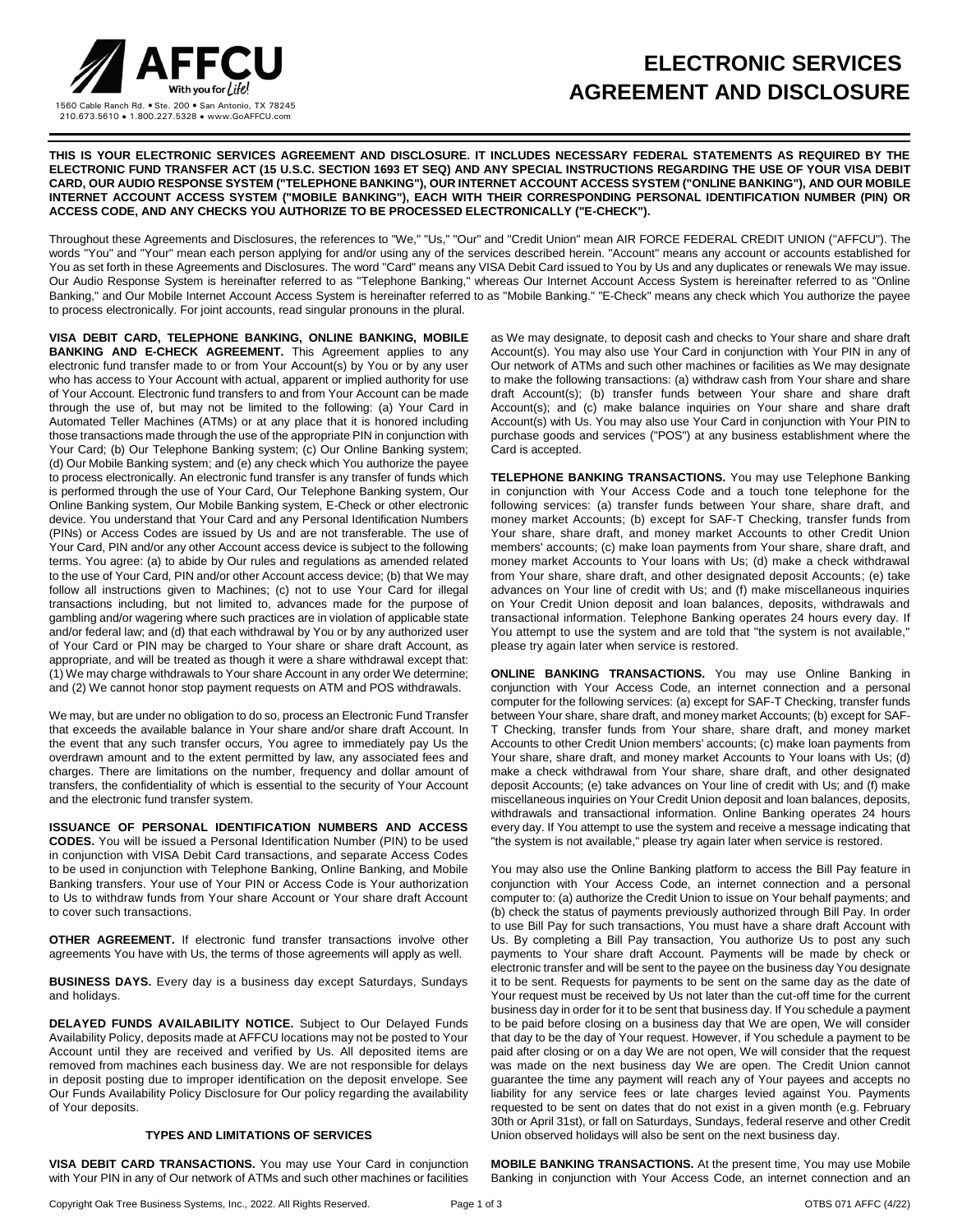

## **ELECTRONIC SERVICES AGREEMENT AND DISCLOSURE**

**THIS IS YOUR ELECTRONIC SERVICES AGREEMENT AND DISCLOSURE. IT INCLUDES NECESSARY FEDERAL STATEMENTS AS REQUIRED BY THE ELECTRONIC FUND TRANSFER ACT (15 U.S.C. SECTION 1693 ET SEQ) AND ANY SPECIAL INSTRUCTIONS REGARDING THE USE OF YOUR VISA DEBIT CARD, OUR AUDIO RESPONSE SYSTEM ("TELEPHONE BANKING"), OUR INTERNET ACCOUNT ACCESS SYSTEM ("ONLINE BANKING"), AND OUR MOBILE INTERNET ACCOUNT ACCESS SYSTEM ("MOBILE BANKING"), EACH WITH THEIR CORRESPONDING PERSONAL IDENTIFICATION NUMBER (PIN) OR ACCESS CODE, AND ANY CHECKS YOU AUTHORIZE TO BE PROCESSED ELECTRONICALLY ("E-CHECK").**

Throughout these Agreements and Disclosures, the references to "We," "Us," "Our" and "Credit Union" mean AIR FORCE FEDERAL CREDIT UNION ("AFFCU"). The words "You" and "Your" mean each person applying for and/or using any of the services described herein. "Account" means any account or accounts established for You as set forth in these Agreements and Disclosures. The word "Card" means any VISA Debit Card issued to You by Us and any duplicates or renewals We may issue. Our Audio Response System is hereinafter referred to as "Telephone Banking," whereas Our Internet Account Access System is hereinafter referred to as "Online Banking," and Our Mobile Internet Account Access System is hereinafter referred to as "Mobile Banking." "E-Check" means any check which You authorize the payee to process electronically. For joint accounts, read singular pronouns in the plural.

**VISA DEBIT CARD, TELEPHONE BANKING, ONLINE BANKING, MOBILE BANKING AND E-CHECK AGREEMENT.** This Agreement applies to any electronic fund transfer made to or from Your Account(s) by You or by any user who has access to Your Account with actual, apparent or implied authority for use of Your Account. Electronic fund transfers to and from Your Account can be made through the use of, but may not be limited to the following: (a) Your Card in Automated Teller Machines (ATMs) or at any place that it is honored including those transactions made through the use of the appropriate PIN in conjunction with Your Card; (b) Our Telephone Banking system; (c) Our Online Banking system; (d) Our Mobile Banking system; and (e) any check which You authorize the payee to process electronically. An electronic fund transfer is any transfer of funds which is performed through the use of Your Card, Our Telephone Banking system, Our Online Banking system, Our Mobile Banking system, E-Check or other electronic device. You understand that Your Card and any Personal Identification Numbers (PINs) or Access Codes are issued by Us and are not transferable. The use of Your Card, PIN and/or any other Account access device is subject to the following terms. You agree: (a) to abide by Our rules and regulations as amended related to the use of Your Card, PIN and/or other Account access device; (b) that We may follow all instructions given to Machines; (c) not to use Your Card for illegal transactions including, but not limited to, advances made for the purpose of gambling and/or wagering where such practices are in violation of applicable state and/or federal law; and (d) that each withdrawal by You or by any authorized user of Your Card or PIN may be charged to Your share or share draft Account, as appropriate, and will be treated as though it were a share withdrawal except that: (1) We may charge withdrawals to Your share Account in any order We determine; and (2) We cannot honor stop payment requests on ATM and POS withdrawals.

We may, but are under no obligation to do so, process an Electronic Fund Transfer that exceeds the available balance in Your share and/or share draft Account. In the event that any such transfer occurs, You agree to immediately pay Us the overdrawn amount and to the extent permitted by law, any associated fees and charges. There are limitations on the number, frequency and dollar amount of transfers, the confidentiality of which is essential to the security of Your Account and the electronic fund transfer system.

**ISSUANCE OF PERSONAL IDENTIFICATION NUMBERS AND ACCESS CODES.** You will be issued a Personal Identification Number (PIN) to be used in conjunction with VISA Debit Card transactions, and separate Access Codes to be used in conjunction with Telephone Banking, Online Banking, and Mobile Banking transfers. Your use of Your PIN or Access Code is Your authorization to Us to withdraw funds from Your share Account or Your share draft Account to cover such transactions.

**OTHER AGREEMENT.** If electronic fund transfer transactions involve other agreements You have with Us, the terms of those agreements will apply as well.

**BUSINESS DAYS.** Every day is a business day except Saturdays, Sundays and holidays.

**DELAYED FUNDS AVAILABILITY NOTICE.** Subject to Our Delayed Funds Availability Policy, deposits made at AFFCU locations may not be posted to Your Account until they are received and verified by Us. All deposited items are removed from machines each business day. We are not responsible for delays in deposit posting due to improper identification on the deposit envelope. See Our Funds Availability Policy Disclosure for Our policy regarding the availability of Your deposits.

## **TYPES AND LIMITATIONS OF SERVICES**

**VISA DEBIT CARD TRANSACTIONS.** You may use Your Card in conjunction with Your PIN in any of Our network of ATMs and such other machines or facilities

as We may designate, to deposit cash and checks to Your share and share draft Account(s). You may also use Your Card in conjunction with Your PIN in any of Our network of ATMs and such other machines or facilities as We may designate to make the following transactions: (a) withdraw cash from Your share and share draft Account(s); (b) transfer funds between Your share and share draft Account(s); and (c) make balance inquiries on Your share and share draft Account(s) with Us. You may also use Your Card in conjunction with Your PIN to purchase goods and services ("POS") at any business establishment where the Card is accepted.

**TELEPHONE BANKING TRANSACTIONS.** You may use Telephone Banking in conjunction with Your Access Code and a touch tone telephone for the following services: (a) transfer funds between Your share, share draft, and money market Accounts; (b) except for SAF-T Checking, transfer funds from Your share, share draft, and money market Accounts to other Credit Union members' accounts; (c) make loan payments from Your share, share draft, and money market Accounts to Your loans with Us; (d) make a check withdrawal from Your share, share draft, and other designated deposit Accounts; (e) take advances on Your line of credit with Us; and (f) make miscellaneous inquiries on Your Credit Union deposit and loan balances, deposits, withdrawals and transactional information. Telephone Banking operates 24 hours every day. If You attempt to use the system and are told that "the system is not available," please try again later when service is restored.

**ONLINE BANKING TRANSACTIONS.** You may use Online Banking in conjunction with Your Access Code, an internet connection and a personal computer for the following services: (a) except for SAF-T Checking, transfer funds between Your share, share draft, and money market Accounts; (b) except for SAF-T Checking, transfer funds from Your share, share draft, and money market Accounts to other Credit Union members' accounts; (c) make loan payments from Your share, share draft, and money market Accounts to Your loans with Us; (d) make a check withdrawal from Your share, share draft, and other designated deposit Accounts; (e) take advances on Your line of credit with Us; and (f) make miscellaneous inquiries on Your Credit Union deposit and loan balances, deposits, withdrawals and transactional information. Online Banking operates 24 hours every day. If You attempt to use the system and receive a message indicating that "the system is not available," please try again later when service is restored.

You may also use the Online Banking platform to access the Bill Pay feature in conjunction with Your Access Code, an internet connection and a personal computer to: (a) authorize the Credit Union to issue on Your behalf payments; and (b) check the status of payments previously authorized through Bill Pay. In order to use Bill Pay for such transactions, You must have a share draft Account with Us. By completing a Bill Pay transaction, You authorize Us to post any such payments to Your share draft Account. Payments will be made by check or electronic transfer and will be sent to the payee on the business day You designate it to be sent. Requests for payments to be sent on the same day as the date of Your request must be received by Us not later than the cut-off time for the current business day in order for it to be sent that business day. If You schedule a payment to be paid before closing on a business day that We are open, We will consider that day to be the day of Your request. However, if You schedule a payment to be paid after closing or on a day We are not open, We will consider that the request was made on the next business day We are open. The Credit Union cannot guarantee the time any payment will reach any of Your payees and accepts no liability for any service fees or late charges levied against You. Payments requested to be sent on dates that do not exist in a given month (e.g. February 30th or April 31st), or fall on Saturdays, Sundays, federal reserve and other Credit Union observed holidays will also be sent on the next business day.

**MOBILE BANKING TRANSACTIONS.** At the present time, You may use Mobile Banking in conjunction with Your Access Code, an internet connection and an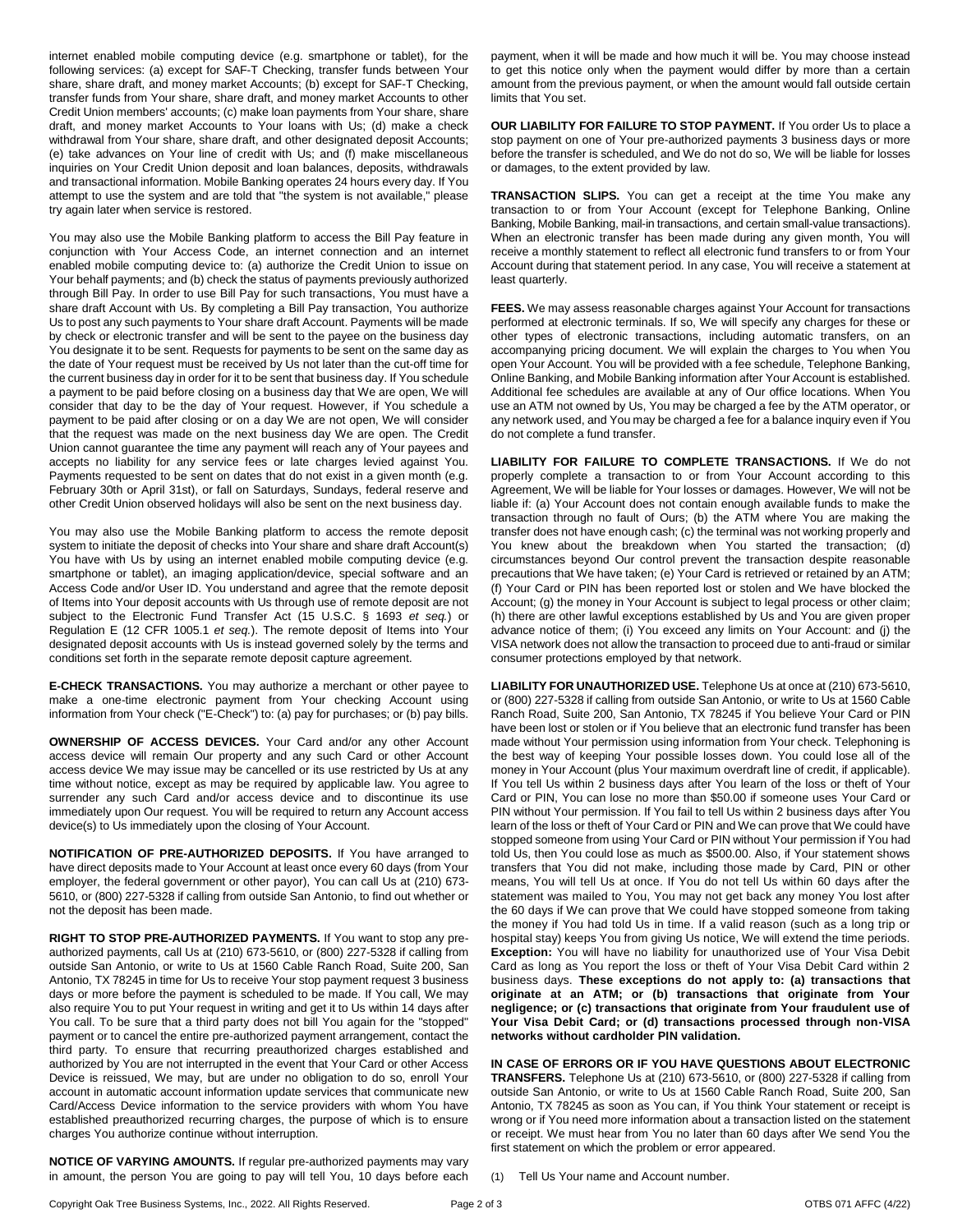internet enabled mobile computing device (e.g. smartphone or tablet), for the following services: (a) except for SAF-T Checking, transfer funds between Your share, share draft, and money market Accounts; (b) except for SAF-T Checking, transfer funds from Your share, share draft, and money market Accounts to other Credit Union members' accounts; (c) make loan payments from Your share, share draft, and money market Accounts to Your loans with Us; (d) make a check withdrawal from Your share, share draft, and other designated deposit Accounts; (e) take advances on Your line of credit with Us; and (f) make miscellaneous inquiries on Your Credit Union deposit and loan balances, deposits, withdrawals and transactional information. Mobile Banking operates 24 hours every day. If You attempt to use the system and are told that "the system is not available," please try again later when service is restored.

You may also use the Mobile Banking platform to access the Bill Pay feature in conjunction with Your Access Code, an internet connection and an internet enabled mobile computing device to: (a) authorize the Credit Union to issue on Your behalf payments; and (b) check the status of payments previously authorized through Bill Pay. In order to use Bill Pay for such transactions, You must have a share draft Account with Us. By completing a Bill Pay transaction, You authorize Us to post any such payments to Your share draft Account. Payments will be made by check or electronic transfer and will be sent to the payee on the business day You designate it to be sent. Requests for payments to be sent on the same day as the date of Your request must be received by Us not later than the cut-off time for the current business day in order for it to be sent that business day. If You schedule a payment to be paid before closing on a business day that We are open, We will consider that day to be the day of Your request. However, if You schedule a payment to be paid after closing or on a day We are not open, We will consider that the request was made on the next business day We are open. The Credit Union cannot guarantee the time any payment will reach any of Your payees and accepts no liability for any service fees or late charges levied against You. Payments requested to be sent on dates that do not exist in a given month (e.g. February 30th or April 31st), or fall on Saturdays, Sundays, federal reserve and other Credit Union observed holidays will also be sent on the next business day.

You may also use the Mobile Banking platform to access the remote deposit system to initiate the deposit of checks into Your share and share draft Account(s) You have with Us by using an internet enabled mobile computing device (e.g. smartphone or tablet), an imaging application/device, special software and an Access Code and/or User ID. You understand and agree that the remote deposit of Items into Your deposit accounts with Us through use of remote deposit are not subject to the Electronic Fund Transfer Act (15 U.S.C. § 1693 *et seq.*) or Regulation E (12 CFR 1005.1 *et seq.*). The remote deposit of Items into Your designated deposit accounts with Us is instead governed solely by the terms and conditions set forth in the separate remote deposit capture agreement.

**E-CHECK TRANSACTIONS.** You may authorize a merchant or other payee to make a one-time electronic payment from Your checking Account using information from Your check ("E-Check") to: (a) pay for purchases; or (b) pay bills.

**OWNERSHIP OF ACCESS DEVICES.** Your Card and/or any other Account access device will remain Our property and any such Card or other Account access device We may issue may be cancelled or its use restricted by Us at any time without notice, except as may be required by applicable law. You agree to surrender any such Card and/or access device and to discontinue its use immediately upon Our request. You will be required to return any Account access device(s) to Us immediately upon the closing of Your Account.

**NOTIFICATION OF PRE-AUTHORIZED DEPOSITS.** If You have arranged to have direct deposits made to Your Account at least once every 60 days (from Your employer, the federal government or other payor), You can call Us at (210) 673- 5610, or (800) 227-5328 if calling from outside San Antonio, to find out whether or not the deposit has been made.

**RIGHT TO STOP PRE-AUTHORIZED PAYMENTS.** If You want to stop any preauthorized payments, call Us at (210) 673-5610, or (800) 227-5328 if calling from outside San Antonio, or write to Us at 1560 Cable Ranch Road, Suite 200, San Antonio, TX 78245 in time for Us to receive Your stop payment request 3 business days or more before the payment is scheduled to be made. If You call, We may also require You to put Your request in writing and get it to Us within 14 days after You call. To be sure that a third party does not bill You again for the "stopped" payment or to cancel the entire pre-authorized payment arrangement, contact the third party. To ensure that recurring preauthorized charges established and authorized by You are not interrupted in the event that Your Card or other Access Device is reissued, We may, but are under no obligation to do so, enroll Your account in automatic account information update services that communicate new Card/Access Device information to the service providers with whom You have established preauthorized recurring charges, the purpose of which is to ensure charges You authorize continue without interruption.

**NOTICE OF VARYING AMOUNTS.** If regular pre-authorized payments may vary in amount, the person You are going to pay will tell You, 10 days before each payment, when it will be made and how much it will be. You may choose instead to get this notice only when the payment would differ by more than a certain amount from the previous payment, or when the amount would fall outside certain limits that You set.

**OUR LIABILITY FOR FAILURE TO STOP PAYMENT.** If You order Us to place a stop payment on one of Your pre-authorized payments 3 business days or more before the transfer is scheduled, and We do not do so, We will be liable for losses or damages, to the extent provided by law.

**TRANSACTION SLIPS.** You can get a receipt at the time You make any transaction to or from Your Account (except for Telephone Banking, Online Banking, Mobile Banking, mail-in transactions, and certain small-value transactions). When an electronic transfer has been made during any given month, You will receive a monthly statement to reflect all electronic fund transfers to or from Your Account during that statement period. In any case, You will receive a statement at least quarterly.

**FEES.** We may assess reasonable charges against Your Account for transactions performed at electronic terminals. If so, We will specify any charges for these or other types of electronic transactions, including automatic transfers, on an accompanying pricing document. We will explain the charges to You when You open Your Account. You will be provided with a fee schedule, Telephone Banking, Online Banking, and Mobile Banking information after Your Account is established. Additional fee schedules are available at any of Our office locations. When You use an ATM not owned by Us, You may be charged a fee by the ATM operator, or any network used, and You may be charged a fee for a balance inquiry even if You do not complete a fund transfer.

**LIABILITY FOR FAILURE TO COMPLETE TRANSACTIONS.** If We do not properly complete a transaction to or from Your Account according to this Agreement, We will be liable for Your losses or damages. However, We will not be liable if: (a) Your Account does not contain enough available funds to make the transaction through no fault of Ours; (b) the ATM where You are making the transfer does not have enough cash; (c) the terminal was not working properly and You knew about the breakdown when You started the transaction; (d) circumstances beyond Our control prevent the transaction despite reasonable precautions that We have taken; (e) Your Card is retrieved or retained by an ATM; (f) Your Card or PIN has been reported lost or stolen and We have blocked the Account; (g) the money in Your Account is subject to legal process or other claim; (h) there are other lawful exceptions established by Us and You are given proper advance notice of them; (i) You exceed any limits on Your Account: and (j) the VISA network does not allow the transaction to proceed due to anti-fraud or similar consumer protections employed by that network.

**LIABILITY FOR UNAUTHORIZED USE.** Telephone Us at once at (210) 673-5610, or (800) 227-5328 if calling from outside San Antonio, or write to Us at 1560 Cable Ranch Road, Suite 200, San Antonio, TX 78245 if You believe Your Card or PIN have been lost or stolen or if You believe that an electronic fund transfer has been made without Your permission using information from Your check. Telephoning is the best way of keeping Your possible losses down. You could lose all of the money in Your Account (plus Your maximum overdraft line of credit, if applicable). If You tell Us within 2 business days after You learn of the loss or theft of Your Card or PIN, You can lose no more than \$50.00 if someone uses Your Card or PIN without Your permission. If You fail to tell Us within 2 business days after You learn of the loss or theft of Your Card or PIN and We can prove that We could have stopped someone from using Your Card or PIN without Your permission if You had told Us, then You could lose as much as \$500.00. Also, if Your statement shows transfers that You did not make, including those made by Card, PIN or other means, You will tell Us at once. If You do not tell Us within 60 days after the statement was mailed to You, You may not get back any money You lost after the 60 days if We can prove that We could have stopped someone from taking the money if You had told Us in time. If a valid reason (such as a long trip or hospital stay) keeps You from giving Us notice, We will extend the time periods. **Exception:** You will have no liability for unauthorized use of Your Visa Debit Card as long as You report the loss or theft of Your Visa Debit Card within 2 business days. **These exceptions do not apply to: (a) transactions that originate at an ATM; or (b) transactions that originate from Your negligence; or (c) transactions that originate from Your fraudulent use of Your Visa Debit Card; or (d) transactions processed through non-VISA networks without cardholder PIN validation.**

**IN CASE OF ERRORS OR IF YOU HAVE QUESTIONS ABOUT ELECTRONIC TRANSFERS.** Telephone Us at (210) 673-5610, or (800) 227-5328 if calling from outside San Antonio, or write to Us at 1560 Cable Ranch Road, Suite 200, San Antonio, TX 78245 as soon as You can, if You think Your statement or receipt is wrong or if You need more information about a transaction listed on the statement or receipt. We must hear from You no later than 60 days after We send You the first statement on which the problem or error appeared.

(1) Tell Us Your name and Account number.